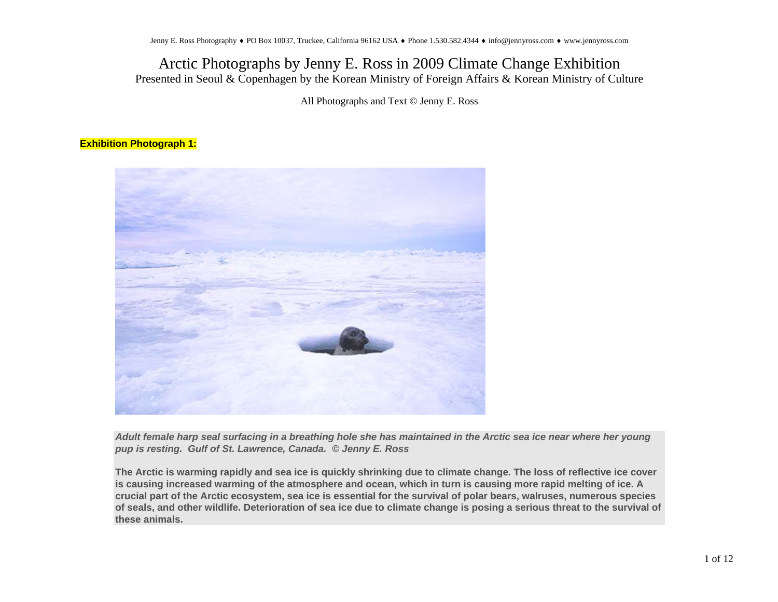All Photographs and Text © Jenny E. Ross

#### **Exhibition Photograph 1:**



*Adult female harp seal surfacing in a breathing hole she has maintained in the Arctic sea ice near where her young pup is resting. Gulf of St. Lawrence, Canada. © Jenny E. Ross*

**The Arctic is warming rapidly and sea ice is quickly shrinking due to climate change. The loss of reflective ice cover is causing increased warming of the atmosphere and ocean, which in turn is causing more rapid melting of ice. A crucial part of the Arctic ecosystem, sea ice is essential for the survival of polar bears, walruses, numerous species of seals, and other wildlife. Deterioration of sea ice due to climate change is posing a serious threat to the survival of these animals.**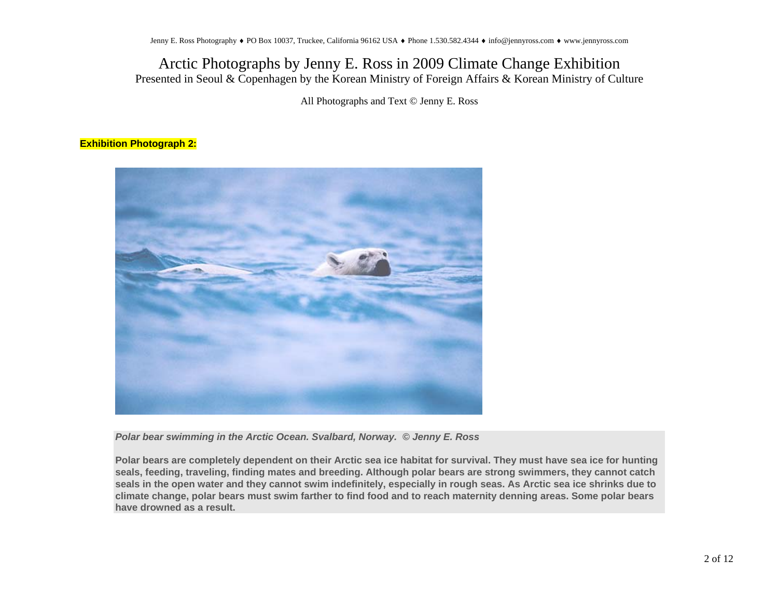All Photographs and Text © Jenny E. Ross

#### **Exhibition Photograph 2:**



*Polar bear swimming in the Arctic Ocean. Svalbard, Norway. © Jenny E. Ross*

**Polar bears are completely dependent on their Arctic sea ice habitat for survival. They must have sea ice for hunting seals, feeding, traveling, finding mates and breeding. Although polar bears are strong swimmers, they cannot catch seals in the open water and they cannot swim indefinitely, especially in rough seas. As Arctic sea ice shrinks due to climate change, polar bears must swim farther to find food and to reach maternity denning areas. Some polar bears have drowned as a result.**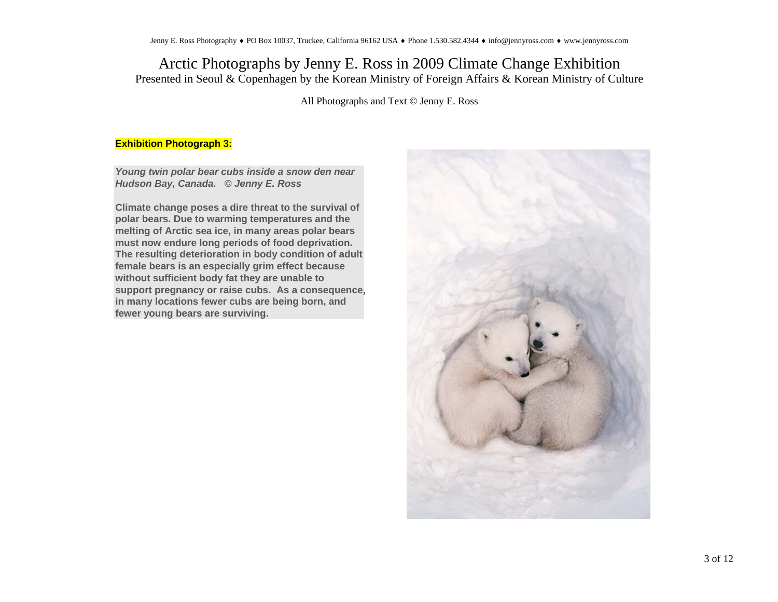All Photographs and Text © Jenny E. Ross

#### **Exhibition Photograph 3:**

*Young twin polar bear cubs inside a snow den near Hudson Bay, Canada. © Jenny E. Ross*

**Climate change poses a dire threat to the survival of polar bears. Due to warming temperatures and the melting of Arctic sea ice, in many areas polar bears must now endure long periods of food deprivation. The resulting deterioration in body condition of adult female bears is an especially grim effect because without sufficient body fat they are unable to support pregnancy or raise cubs. As a consequence, in many locations fewer cubs are being born, and fewer young bears are surviving.** 

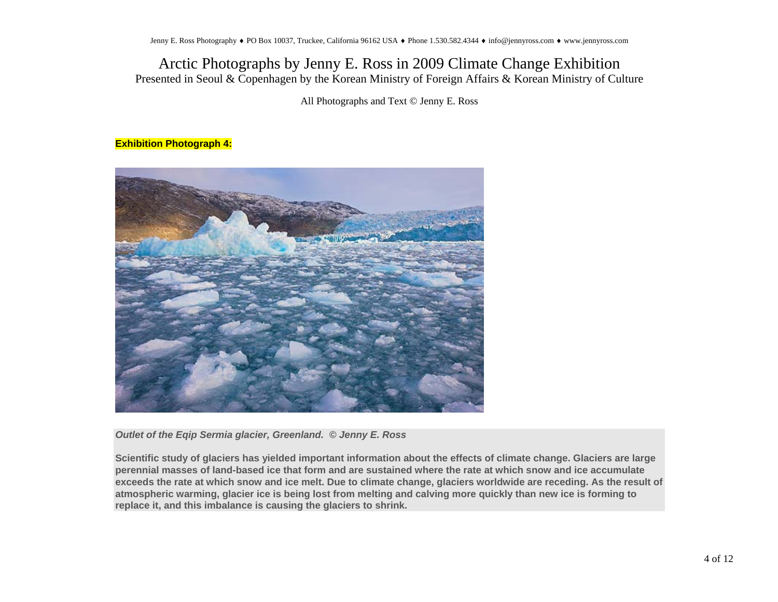All Photographs and Text © Jenny E. Ross

#### **Exhibition Photograph 4:**



*Outlet of the Eqip Sermia glacier, Greenland. © Jenny E. Ross*

**Scientific study of glaciers has yielded important information about the effects of climate change. Glaciers are large perennial masses of land-based ice that form and are sustained where the rate at which snow and ice accumulate exceeds the rate at which snow and ice melt. Due to climate change, glaciers worldwide are receding. As the result of atmospheric warming, glacier ice is being lost from melting and calving more quickly than new ice is forming to replace it, and this imbalance is causing the glaciers to shrink.**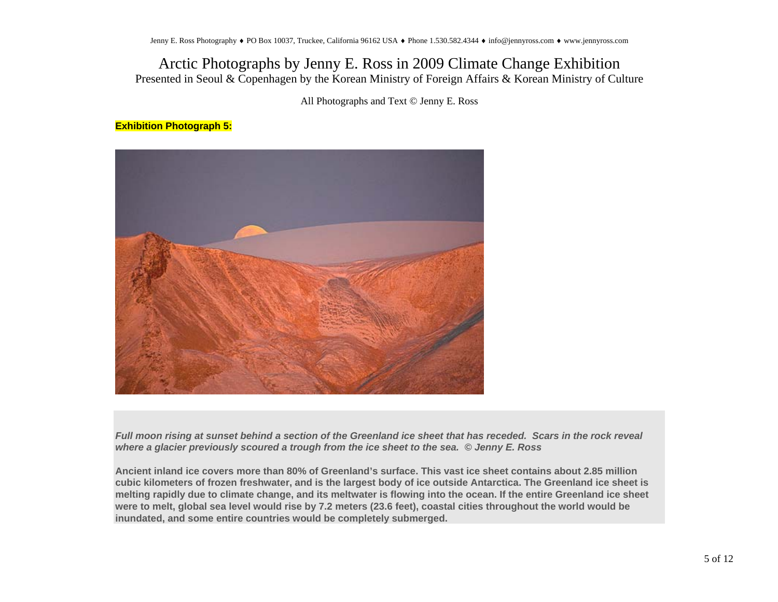All Photographs and Text © Jenny E. Ross

### **Exhibition Photograph 5:**



*Full moon rising at sunset behind a section of the Greenland ice sheet that has receded. Scars in the rock reveal where a glacier previously scoured a trough from the ice sheet to the sea. © Jenny E. Ross*

**Ancient inland ice covers more than 80% of Greenland's surface. This vast ice sheet contains about 2.85 million cubic kilometers of frozen freshwater, and is the largest body of ice outside Antarctica. The Greenland ice sheet is melting rapidly due to climate change, and its meltwater is flowing into the ocean. If the entire Greenland ice sheet were to melt, global sea level would rise by 7.2 meters (23.6 feet), coastal cities throughout the world would be inundated, and some entire countries would be completely submerged.**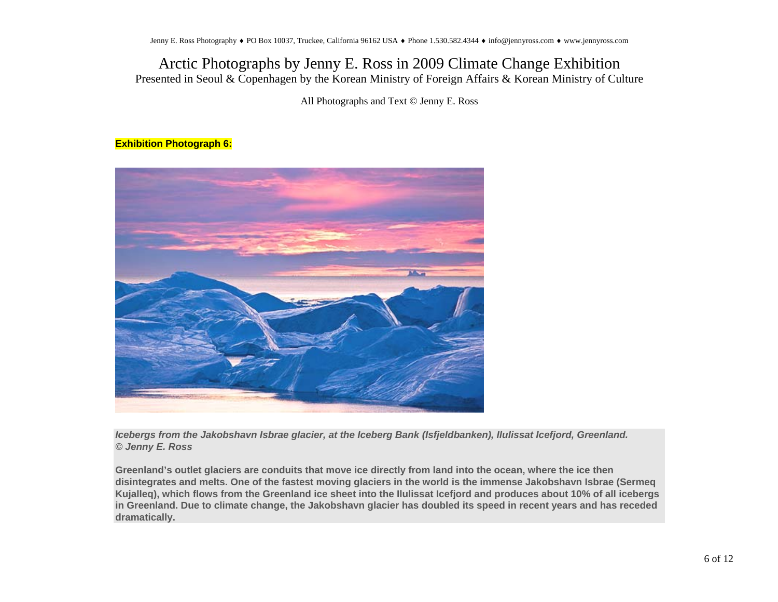All Photographs and Text © Jenny E. Ross

#### **Exhibition Photograph 6:**



*Icebergs from the Jakobshavn Isbrae glacier, at the Iceberg Bank (Isfjeldbanken), Ilulissat Icefjord, Greenland. © Jenny E. Ross*

**Greenland's outlet glaciers are conduits that move ice directly from land into the ocean, where the ice then disintegrates and melts. One of the fastest moving glaciers in the world is the immense Jakobshavn Isbrae (Sermeq Kujalleq), which flows from the Greenland ice sheet into the Ilulissat Icefjord and produces about 10% of all icebergs in Greenland. Due to climate change, the Jakobshavn glacier has doubled its speed in recent years and has receded dramatically.**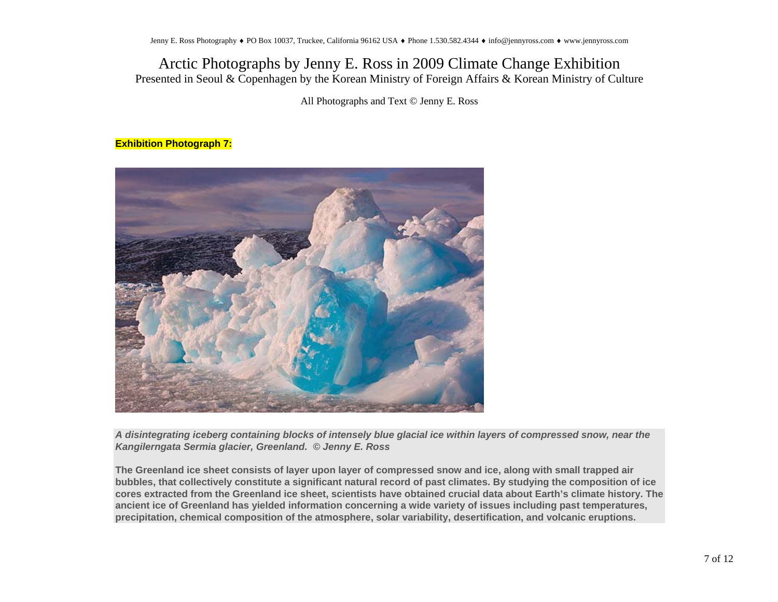All Photographs and Text © Jenny E. Ross

### **Exhibition Photograph 7:**



*A disintegrating iceberg containing blocks of intensely blue glacial ice within layers of compressed snow, near the Kangilerngata Sermia glacier, Greenland. © Jenny E. Ross*

**The Greenland ice sheet consists of layer upon layer of compressed snow and ice, along with small trapped air bubbles, that collectively constitute a significant natural record of past climates. By studying the composition of ice cores extracted from the Greenland ice sheet, scientists have obtained crucial data about Earth's climate history. The ancient ice of Greenland has yielded information concerning a wide variety of issues including past temperatures, precipitation, chemical composition of the atmosphere, solar variability, desertification, and volcanic eruptions.**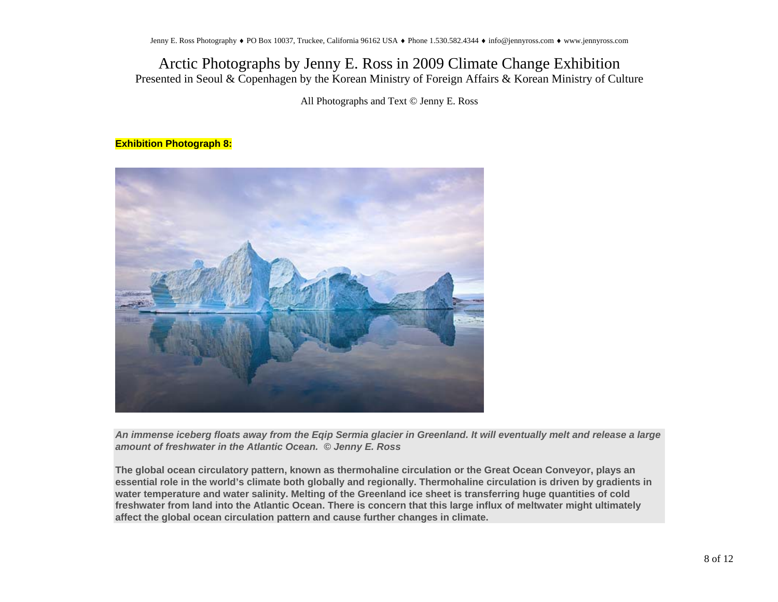All Photographs and Text © Jenny E. Ross

### **Exhibition Photograph 8:**



*An immense iceberg floats away from the Eqip Sermia glacier in Greenland. It will eventually melt and release a large amount of freshwater in the Atlantic Ocean. © Jenny E. Ross*

**The global ocean circulatory pattern, known as thermohaline circulation or the Great Ocean Conveyor, plays an essential role in the world's climate both globally and regionally. Thermohaline circulation is driven by gradients in water temperature and water salinity. Melting of the Greenland ice sheet is transferring huge quantities of cold freshwater from land into the Atlantic Ocean. There is concern that this large influx of meltwater might ultimately affect the global ocean circulation pattern and cause further changes in climate.**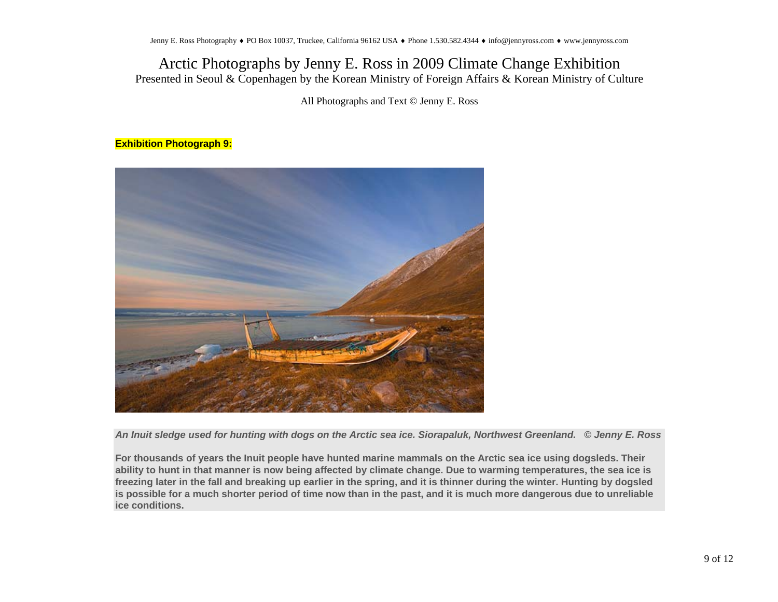All Photographs and Text © Jenny E. Ross

### **Exhibition Photograph 9:**



*An Inuit sledge used for hunting with dogs on the Arctic sea ice. Siorapaluk, Northwest Greenland. © Jenny E. Ross*

**For thousands of years the Inuit people have hunted marine mammals on the Arctic sea ice using dogsleds. Their ability to hunt in that manner is now being affected by climate change. Due to warming temperatures, the sea ice is freezing later in the fall and breaking up earlier in the spring, and it is thinner during the winter. Hunting by dogsled is possible for a much shorter period of time now than in the past, and it is much more dangerous due to unreliable ice conditions.**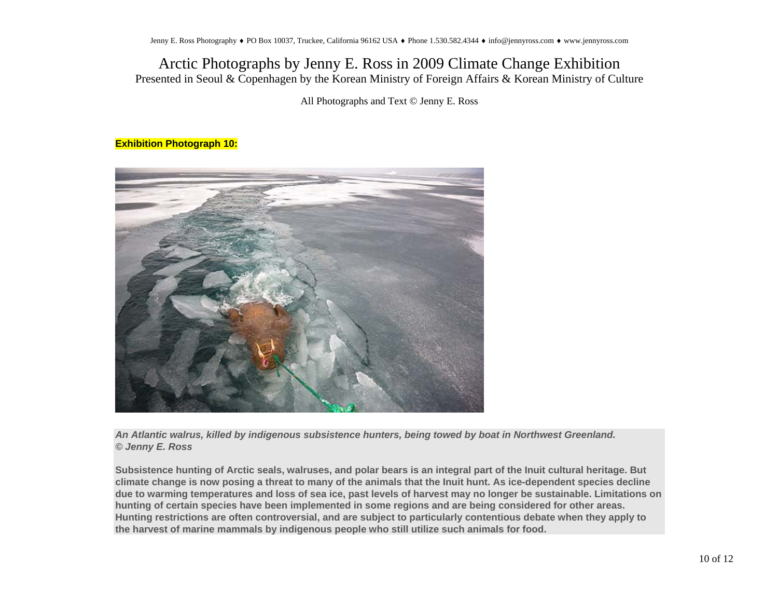All Photographs and Text © Jenny E. Ross

#### **Exhibition Photograph 10:**



*An Atlantic walrus, killed by indigenous subsistence hunters, being towed by boat in Northwest Greenland. © Jenny E. Ross*

**Subsistence hunting of Arctic seals, walruses, and polar bears is an integral part of the Inuit cultural heritage. But climate change is now posing a threat to many of the animals that the Inuit hunt. As ice-dependent species decline due to warming temperatures and loss of sea ice, past levels of harvest may no longer be sustainable. Limitations on hunting of certain species have been implemented in some regions and are being considered for other areas. Hunting restrictions are often controversial, and are subject to particularly contentious debate when they apply to the harvest of marine mammals by indigenous people who still utilize such animals for food.**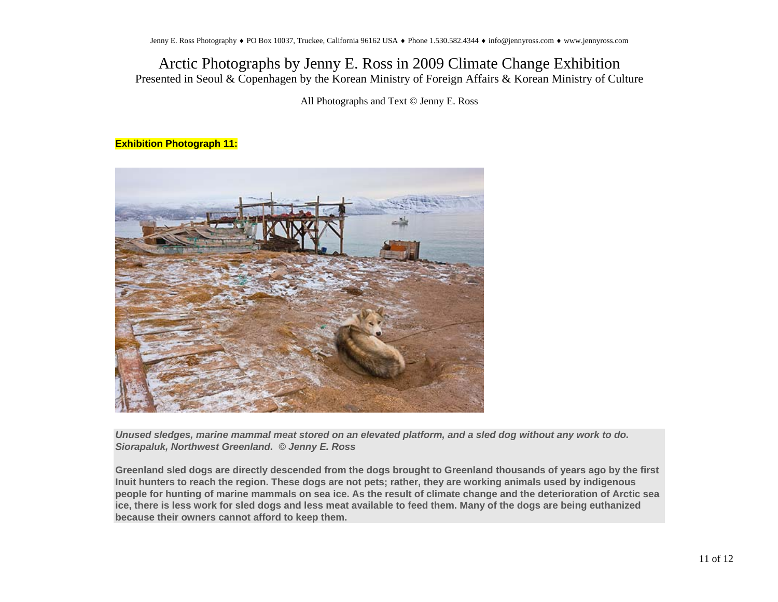All Photographs and Text © Jenny E. Ross

#### **Exhibition Photograph 11:**



*Unused sledges, marine mammal meat stored on an elevated platform, and a sled dog without any work to do. Siorapaluk, Northwest Greenland. © Jenny E. Ross*

**Greenland sled dogs are directly descended from the dogs brought to Greenland thousands of years ago by the first Inuit hunters to reach the region. These dogs are not pets; rather, they are working animals used by indigenous people for hunting of marine mammals on sea ice. As the result of climate change and the deterioration of Arctic sea ice, there is less work for sled dogs and less meat available to feed them. Many of the dogs are being euthanized because their owners cannot afford to keep them.**